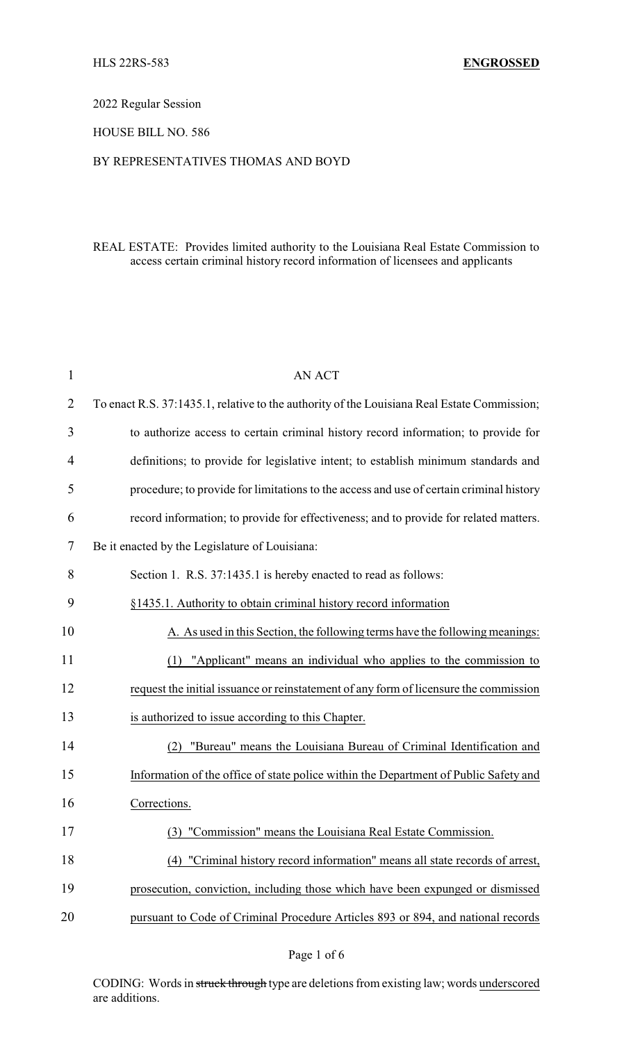#### 2022 Regular Session

# HOUSE BILL NO. 586

## BY REPRESENTATIVES THOMAS AND BOYD

# REAL ESTATE: Provides limited authority to the Louisiana Real Estate Commission to access certain criminal history record information of licensees and applicants

| 1              | <b>AN ACT</b>                                                                               |
|----------------|---------------------------------------------------------------------------------------------|
| $\overline{2}$ | To enact R.S. 37:1435.1, relative to the authority of the Louisiana Real Estate Commission; |
| 3              | to authorize access to certain criminal history record information; to provide for          |
| 4              | definitions; to provide for legislative intent; to establish minimum standards and          |
| 5              | procedure; to provide for limitations to the access and use of certain criminal history     |
| 6              | record information; to provide for effectiveness; and to provide for related matters.       |
| 7              | Be it enacted by the Legislature of Louisiana:                                              |
| 8              | Section 1. R.S. 37:1435.1 is hereby enacted to read as follows:                             |
| 9              | §1435.1. Authority to obtain criminal history record information                            |
| 10             | A. As used in this Section, the following terms have the following meanings:                |
| 11             | (1) "Applicant" means an individual who applies to the commission to                        |
| 12             | request the initial issuance or reinstatement of any form of licensure the commission       |
| 13             | is authorized to issue according to this Chapter.                                           |
| 14             | "Bureau" means the Louisiana Bureau of Criminal Identification and<br>(2)                   |
| 15             | Information of the office of state police within the Department of Public Safety and        |
| 16             | Corrections.                                                                                |
| 17             | (3) "Commission" means the Louisiana Real Estate Commission.                                |
| 18             | "Criminal history record information" means all state records of arrest,<br>(4)             |
| 19             | prosecution, conviction, including those which have been expunged or dismissed              |
| 20             | pursuant to Code of Criminal Procedure Articles 893 or 894, and national records            |

CODING: Words in struck through type are deletions from existing law; words underscored are additions.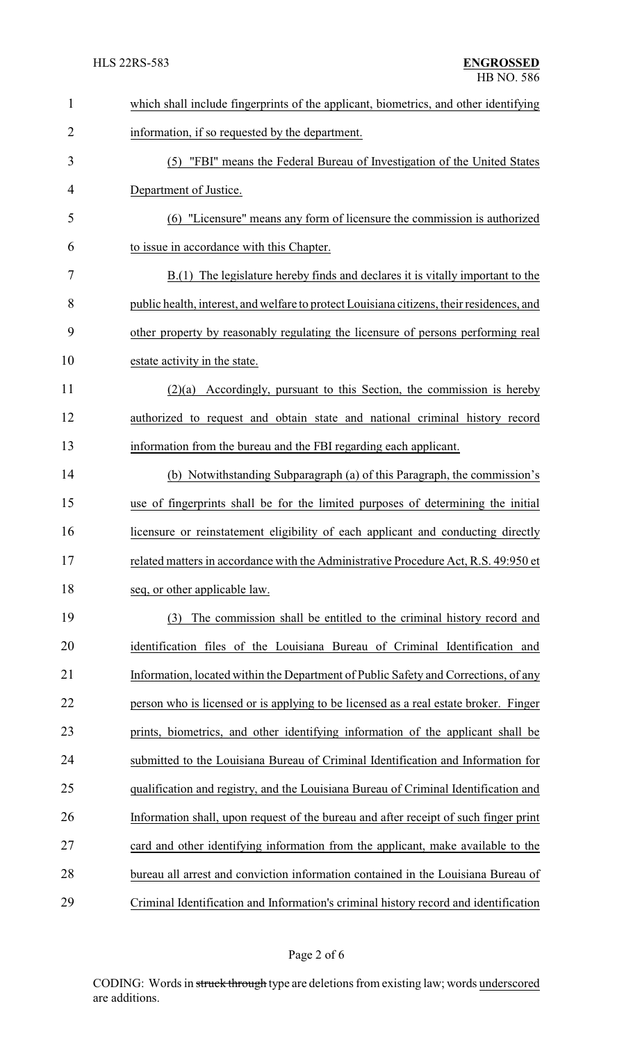| $\mathbf{1}$   | which shall include fingerprints of the applicant, biometrics, and other identifying      |
|----------------|-------------------------------------------------------------------------------------------|
| $\overline{2}$ | information, if so requested by the department.                                           |
| 3              | (5) "FBI" means the Federal Bureau of Investigation of the United States                  |
| 4              | Department of Justice.                                                                    |
| 5              | (6) "Licensure" means any form of licensure the commission is authorized                  |
| 6              | to issue in accordance with this Chapter.                                                 |
| 7              | B.(1) The legislature hereby finds and declares it is vitally important to the            |
| 8              | public health, interest, and welfare to protect Louisiana citizens, their residences, and |
| 9              | other property by reasonably regulating the licensure of persons performing real          |
| 10             | estate activity in the state.                                                             |
| 11             | $(2)(a)$ Accordingly, pursuant to this Section, the commission is hereby                  |
| 12             | authorized to request and obtain state and national criminal history record               |
| 13             | information from the bureau and the FBI regarding each applicant.                         |
| 14             | (b) Notwithstanding Subparagraph (a) of this Paragraph, the commission's                  |
| 15             | use of fingerprints shall be for the limited purposes of determining the initial          |
| 16             | licensure or reinstatement eligibility of each applicant and conducting directly          |
| 17             | related matters in accordance with the Administrative Procedure Act, R.S. 49:950 et       |
| 18             | seq, or other applicable law.                                                             |
| 19             | The commission shall be entitled to the criminal history record and<br>(3)                |
| 20             | identification files of the Louisiana Bureau of Criminal Identification and               |
| 21             | Information, located within the Department of Public Safety and Corrections, of any       |
| 22             | person who is licensed or is applying to be licensed as a real estate broker. Finger      |
| 23             | prints, biometrics, and other identifying information of the applicant shall be           |
| 24             | submitted to the Louisiana Bureau of Criminal Identification and Information for          |
| 25             | qualification and registry, and the Louisiana Bureau of Criminal Identification and       |
| 26             | Information shall, upon request of the bureau and after receipt of such finger print      |
| 27             | card and other identifying information from the applicant, make available to the          |
| 28             | bureau all arrest and conviction information contained in the Louisiana Bureau of         |
| 29             | Criminal Identification and Information's criminal history record and identification      |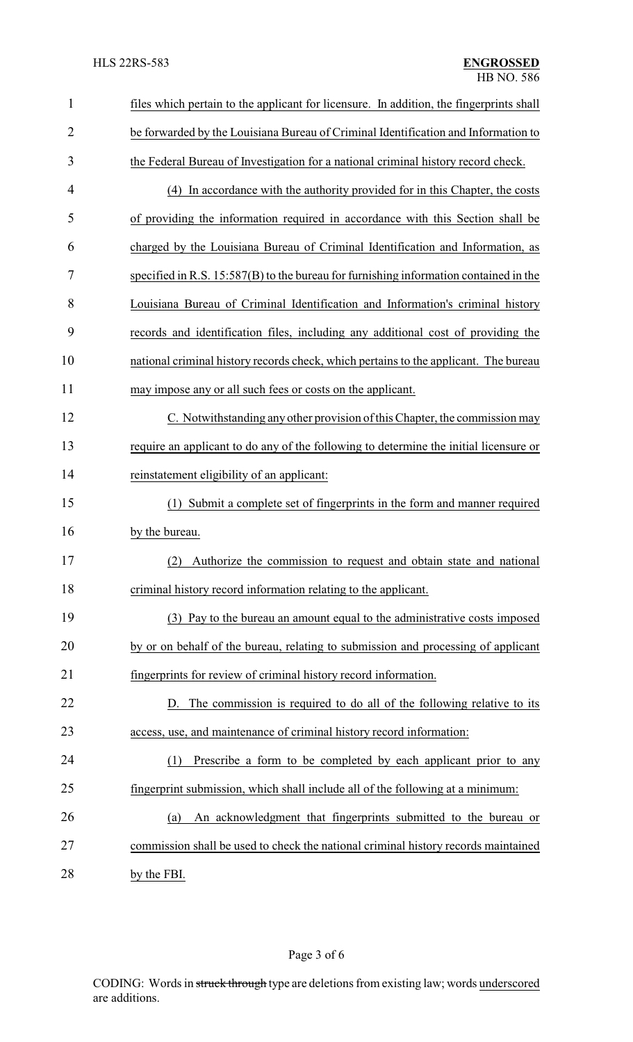| $\mathbf{1}$   | files which pertain to the applicant for licensure. In addition, the fingerprints shall |
|----------------|-----------------------------------------------------------------------------------------|
| $\overline{2}$ | be forwarded by the Louisiana Bureau of Criminal Identification and Information to      |
| 3              | the Federal Bureau of Investigation for a national criminal history record check.       |
| 4              | (4) In accordance with the authority provided for in this Chapter, the costs            |
| 5              | of providing the information required in accordance with this Section shall be          |
| 6              | charged by the Louisiana Bureau of Criminal Identification and Information, as          |
| 7              | specified in R.S. 15:587(B) to the bureau for furnishing information contained in the   |
| 8              | Louisiana Bureau of Criminal Identification and Information's criminal history          |
| 9              | records and identification files, including any additional cost of providing the        |
| 10             | national criminal history records check, which pertains to the applicant. The bureau    |
| 11             | may impose any or all such fees or costs on the applicant.                              |
| 12             | C. Notwithstanding any other provision of this Chapter, the commission may              |
| 13             | require an applicant to do any of the following to determine the initial licensure or   |
| 14             | reinstatement eligibility of an applicant:                                              |
| 15             | Submit a complete set of fingerprints in the form and manner required<br>(1)            |
| 16             | by the bureau.                                                                          |
| 17             | Authorize the commission to request and obtain state and national<br>(2)                |
| 18             | criminal history record information relating to the applicant.                          |
| 19             | (3) Pay to the bureau an amount equal to the administrative costs imposed               |
| 20             | by or on behalf of the bureau, relating to submission and processing of applicant       |
| 21             | fingerprints for review of criminal history record information.                         |
| 22             | D. The commission is required to do all of the following relative to its                |
| 23             | access, use, and maintenance of criminal history record information:                    |
| 24             | Prescribe a form to be completed by each applicant prior to any<br>(1)                  |
| 25             | fingerprint submission, which shall include all of the following at a minimum:          |
| 26             | An acknowledgment that fingerprints submitted to the bureau or<br>(a)                   |
| 27             | commission shall be used to check the national criminal history records maintained      |
|                |                                                                                         |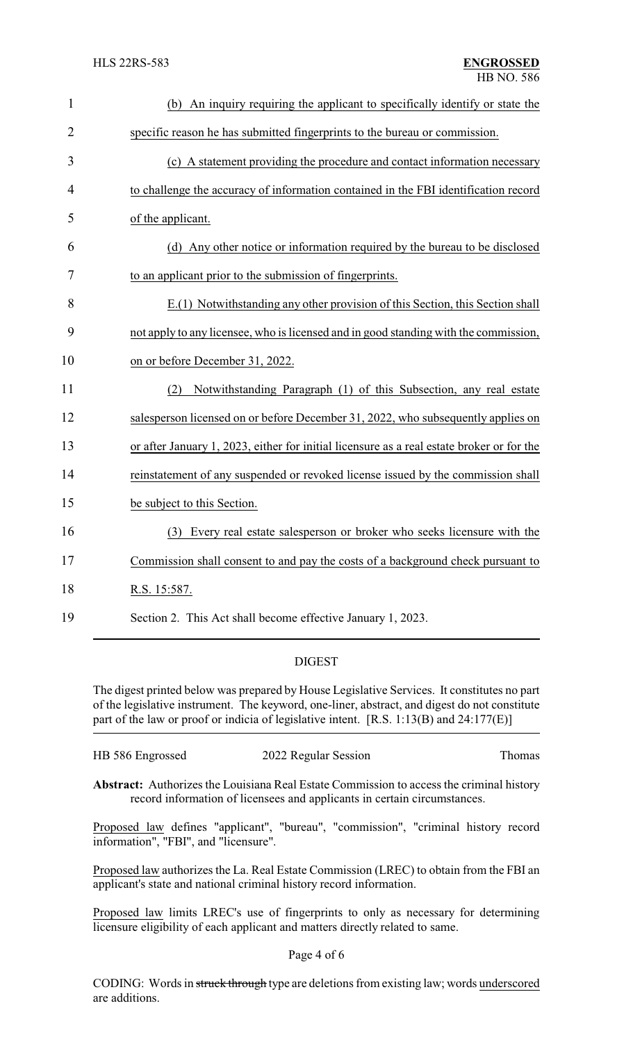| $\mathbf{1}$   | (b) An inquiry requiring the applicant to specifically identify or state the              |
|----------------|-------------------------------------------------------------------------------------------|
| $\overline{2}$ | specific reason he has submitted fingerprints to the bureau or commission.                |
| 3              | (c) A statement providing the procedure and contact information necessary                 |
| 4              | to challenge the accuracy of information contained in the FBI identification record       |
| 5              | of the applicant.                                                                         |
| 6              | (d) Any other notice or information required by the bureau to be disclosed                |
| 7              | to an applicant prior to the submission of fingerprints.                                  |
| 8              | $E(1)$ Notwithstanding any other provision of this Section, this Section shall            |
| 9              | not apply to any licensee, who is licensed and in good standing with the commission,      |
| 10             | on or before December 31, 2022.                                                           |
| 11             | Notwithstanding Paragraph (1) of this Subsection, any real estate<br>(2)                  |
| 12             | salesperson licensed on or before December 31, 2022, who subsequently applies on          |
| 13             | or after January 1, 2023, either for initial licensure as a real estate broker or for the |
| 14             | reinstatement of any suspended or revoked license issued by the commission shall          |
| 15             | be subject to this Section.                                                               |
| 16             | (3) Every real estate salesperson or broker who seeks licensure with the                  |
| 17             | Commission shall consent to and pay the costs of a background check pursuant to           |
| 18             | R.S. 15:587.                                                                              |
| 19             | Section 2. This Act shall become effective January 1, 2023.                               |

## DIGEST

The digest printed below was prepared by House Legislative Services. It constitutes no part of the legislative instrument. The keyword, one-liner, abstract, and digest do not constitute part of the law or proof or indicia of legislative intent. [R.S. 1:13(B) and 24:177(E)]

| HB 586 Engrossed<br>2022 Regular Session | Thomas |
|------------------------------------------|--------|
|------------------------------------------|--------|

**Abstract:** Authorizes the Louisiana Real Estate Commission to access the criminal history record information of licensees and applicants in certain circumstances.

Proposed law defines "applicant", "bureau", "commission", "criminal history record information", "FBI", and "licensure".

Proposed law authorizes the La. Real Estate Commission (LREC) to obtain from the FBI an applicant's state and national criminal history record information.

Proposed law limits LREC's use of fingerprints to only as necessary for determining licensure eligibility of each applicant and matters directly related to same.

#### Page 4 of 6

CODING: Words in struck through type are deletions from existing law; words underscored are additions.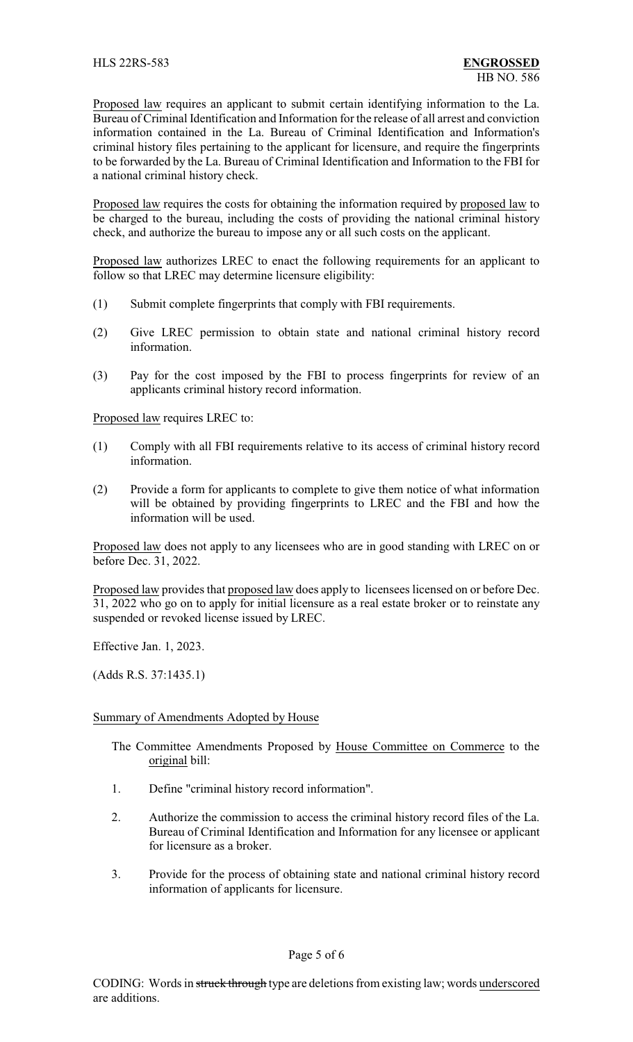Proposed law requires an applicant to submit certain identifying information to the La. Bureau of Criminal Identification and Information for the release of all arrest and conviction information contained in the La. Bureau of Criminal Identification and Information's criminal history files pertaining to the applicant for licensure, and require the fingerprints to be forwarded by the La. Bureau of Criminal Identification and Information to the FBI for a national criminal history check.

Proposed law requires the costs for obtaining the information required by proposed law to be charged to the bureau, including the costs of providing the national criminal history check, and authorize the bureau to impose any or all such costs on the applicant.

Proposed law authorizes LREC to enact the following requirements for an applicant to follow so that LREC may determine licensure eligibility:

- (1) Submit complete fingerprints that comply with FBI requirements.
- (2) Give LREC permission to obtain state and national criminal history record information.
- (3) Pay for the cost imposed by the FBI to process fingerprints for review of an applicants criminal history record information.

Proposed law requires LREC to:

- (1) Comply with all FBI requirements relative to its access of criminal history record information.
- (2) Provide a form for applicants to complete to give them notice of what information will be obtained by providing fingerprints to LREC and the FBI and how the information will be used.

Proposed law does not apply to any licensees who are in good standing with LREC on or before Dec. 31, 2022.

Proposed law provides that proposed law does apply to licensees licensed on or before Dec. 31, 2022 who go on to apply for initial licensure as a real estate broker or to reinstate any suspended or revoked license issued by LREC.

Effective Jan. 1, 2023.

(Adds R.S. 37:1435.1)

## Summary of Amendments Adopted by House

- The Committee Amendments Proposed by House Committee on Commerce to the original bill:
- 1. Define "criminal history record information".
- 2. Authorize the commission to access the criminal history record files of the La. Bureau of Criminal Identification and Information for any licensee or applicant for licensure as a broker.
- 3. Provide for the process of obtaining state and national criminal history record information of applicants for licensure.